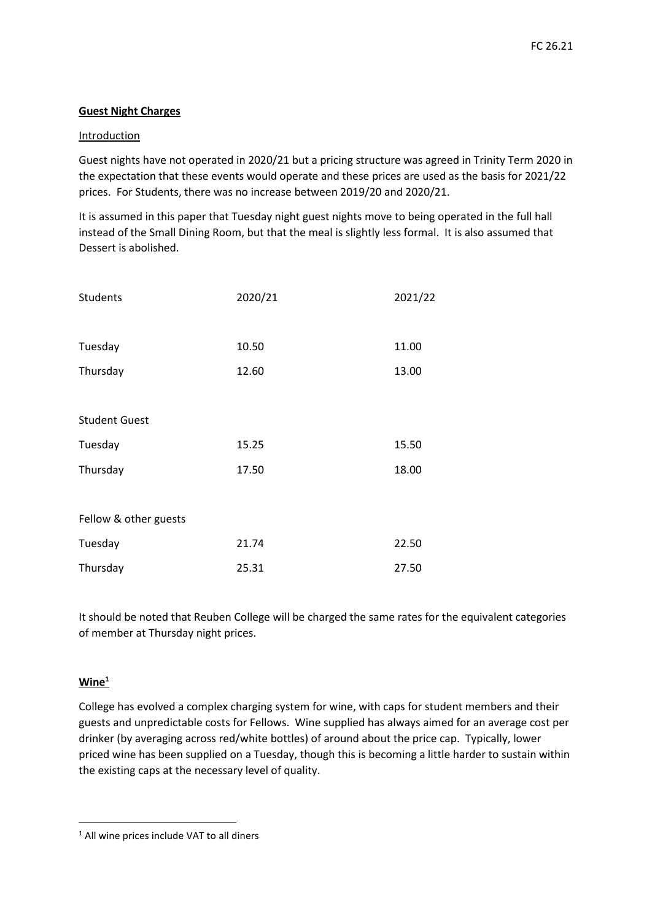## **Guest Night Charges**

## Introduction

Guest nights have not operated in 2020/21 but a pricing structure was agreed in Trinity Term 2020 in the expectation that these events would operate and these prices are used as the basis for 2021/22 prices. For Students, there was no increase between 2019/20 and 2020/21.

It is assumed in this paper that Tuesday night guest nights move to being operated in the full hall instead of the Small Dining Room, but that the meal is slightly less formal. It is also assumed that Dessert is abolished.

| Students              | 2020/21 | 2021/22 |
|-----------------------|---------|---------|
|                       |         |         |
| Tuesday               | 10.50   | 11.00   |
| Thursday              | 12.60   | 13.00   |
|                       |         |         |
| <b>Student Guest</b>  |         |         |
| Tuesday               | 15.25   | 15.50   |
| Thursday              | 17.50   | 18.00   |
|                       |         |         |
| Fellow & other guests |         |         |
| Tuesday               | 21.74   | 22.50   |
| Thursday              | 25.31   | 27.50   |

It should be noted that Reuben College will be charged the same rates for the equivalent categories of member at Thursday night prices.

## **Wine<sup>1</sup>**

 $\overline{a}$ 

College has evolved a complex charging system for wine, with caps for student members and their guests and unpredictable costs for Fellows. Wine supplied has always aimed for an average cost per drinker (by averaging across red/white bottles) of around about the price cap. Typically, lower priced wine has been supplied on a Tuesday, though this is becoming a little harder to sustain within the existing caps at the necessary level of quality.

<sup>&</sup>lt;sup>1</sup> All wine prices include VAT to all diners